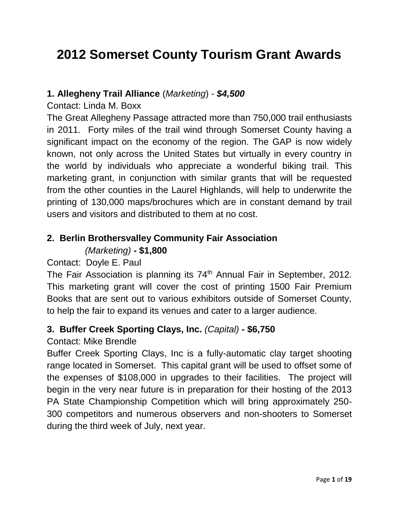# **2012 Somerset County Tourism Grant Awards**

#### **1. Allegheny Trail Alliance** (*Marketing*) - *\$4,500*

Contact: Linda M. Boxx

The Great Allegheny Passage attracted more than 750,000 trail enthusiasts in 2011. Forty miles of the trail wind through Somerset County having a significant impact on the economy of the region. The GAP is now widely known, not only across the United States but virtually in every country in the world by individuals who appreciate a wonderful biking trail. This marketing grant, in conjunction with similar grants that will be requested from the other counties in the Laurel Highlands, will help to underwrite the printing of 130,000 maps/brochures which are in constant demand by trail users and visitors and distributed to them at no cost.

## **2. Berlin Brothersvalley Community Fair Association**

### *(Marketing)* **- \$1,800**

#### Contact: Doyle E. Paul

The Fair Association is planning its  $74<sup>th</sup>$  Annual Fair in September, 2012. This marketing grant will cover the cost of printing 1500 Fair Premium Books that are sent out to various exhibitors outside of Somerset County, to help the fair to expand its venues and cater to a larger audience.

#### **3. Buffer Creek Sporting Clays, Inc.** *(Capital)* **- \$6,750**

#### Contact: Mike Brendle

Buffer Creek Sporting Clays, Inc is a fully-automatic clay target shooting range located in Somerset. This capital grant will be used to offset some of the expenses of \$108,000 in upgrades to their facilities. The project will begin in the very near future is in preparation for their hosting of the 2013 PA State Championship Competition which will bring approximately 250- 300 competitors and numerous observers and non-shooters to Somerset during the third week of July, next year.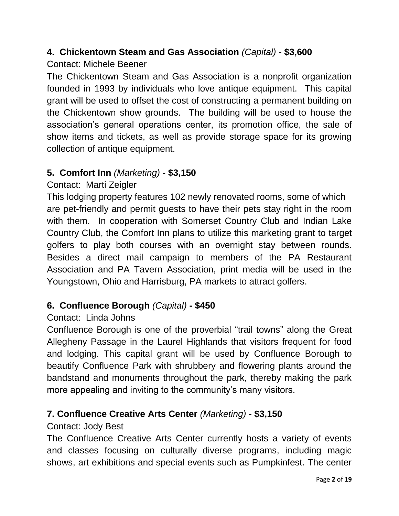### **4. Chickentown Steam and Gas Association** *(Capital)* **- \$3,600**

#### Contact: Michele Beener

The Chickentown Steam and Gas Association is a nonprofit organization founded in 1993 by individuals who love antique equipment. This capital grant will be used to offset the cost of constructing a permanent building on the Chickentown show grounds. The building will be used to house the association's general operations center, its promotion office, the sale of show items and tickets, as well as provide storage space for its growing collection of antique equipment.

### **5. Comfort Inn** *(Marketing)* **- \$3,150**

### Contact: Marti Zeigler

This lodging property features 102 newly renovated rooms, some of which are pet-friendly and permit guests to have their pets stay right in the room with them. In cooperation with Somerset Country Club and Indian Lake Country Club, the Comfort Inn plans to utilize this marketing grant to target golfers to play both courses with an overnight stay between rounds. Besides a direct mail campaign to members of the PA Restaurant Association and PA Tavern Association, print media will be used in the Youngstown, Ohio and Harrisburg, PA markets to attract golfers.

#### **6. Confluence Borough** *(Capital)* **- \$450**

#### Contact: Linda Johns

Confluence Borough is one of the proverbial "trail towns" along the Great Allegheny Passage in the Laurel Highlands that visitors frequent for food and lodging. This capital grant will be used by Confluence Borough to beautify Confluence Park with shrubbery and flowering plants around the bandstand and monuments throughout the park, thereby making the park more appealing and inviting to the community's many visitors.

#### **7. Confluence Creative Arts Center** *(Marketing)* **- \$3,150**

#### Contact: Jody Best

The Confluence Creative Arts Center currently hosts a variety of events and classes focusing on culturally diverse programs, including magic shows, art exhibitions and special events such as Pumpkinfest. The center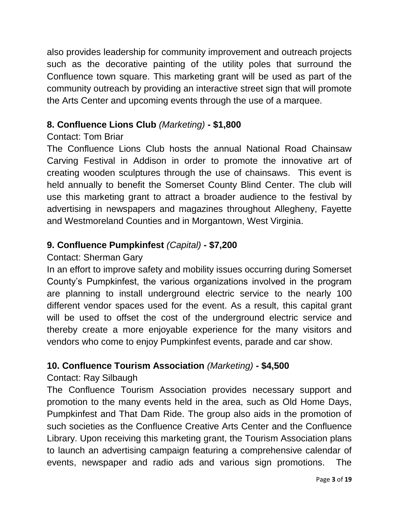also provides leadership for community improvement and outreach projects such as the decorative painting of the utility poles that surround the Confluence town square. This marketing grant will be used as part of the community outreach by providing an interactive street sign that will promote the Arts Center and upcoming events through the use of a marquee.

## **8. Confluence Lions Club** *(Marketing)* **- \$1,800**

## Contact: Tom Briar

The Confluence Lions Club hosts the annual National Road Chainsaw Carving Festival in Addison in order to promote the innovative art of creating wooden sculptures through the use of chainsaws. This event is held annually to benefit the Somerset County Blind Center. The club will use this marketing grant to attract a broader audience to the festival by advertising in newspapers and magazines throughout Allegheny, Fayette and Westmoreland Counties and in Morgantown, West Virginia.

## **9. Confluence Pumpkinfest** *(Capital)* **- \$7,200**

#### Contact: Sherman Gary

In an effort to improve safety and mobility issues occurring during Somerset County's Pumpkinfest, the various organizations involved in the program are planning to install underground electric service to the nearly 100 different vendor spaces used for the event. As a result, this capital grant will be used to offset the cost of the underground electric service and thereby create a more enjoyable experience for the many visitors and vendors who come to enjoy Pumpkinfest events, parade and car show.

## **10. Confluence Tourism Association** *(Marketing)* **- \$4,500**

## Contact: Ray Silbaugh

The Confluence Tourism Association provides necessary support and promotion to the many events held in the area, such as Old Home Days, Pumpkinfest and That Dam Ride. The group also aids in the promotion of such societies as the Confluence Creative Arts Center and the Confluence Library. Upon receiving this marketing grant, the Tourism Association plans to launch an advertising campaign featuring a comprehensive calendar of events, newspaper and radio ads and various sign promotions. The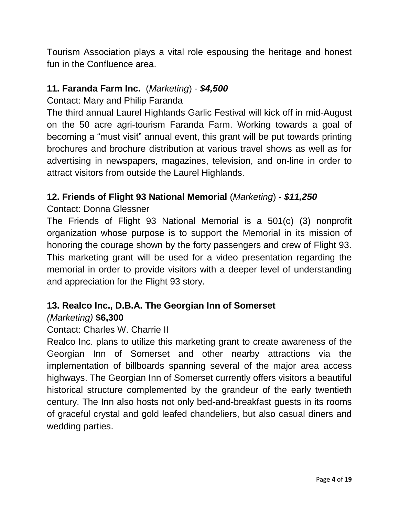Tourism Association plays a vital role espousing the heritage and honest fun in the Confluence area.

#### **11. Faranda Farm Inc.** (*Marketing*) - *\$4,500*

Contact: Mary and Philip Faranda

The third annual Laurel Highlands Garlic Festival will kick off in mid-August on the 50 acre agri-tourism Faranda Farm. Working towards a goal of becoming a "must visit" annual event, this grant will be put towards printing brochures and brochure distribution at various travel shows as well as for advertising in newspapers, magazines, television, and on-line in order to attract visitors from outside the Laurel Highlands.

#### **12. Friends of Flight 93 National Memorial** (*Marketing*) - *\$11,250*

#### Contact: Donna Glessner

The Friends of Flight 93 National Memorial is a 501(c) (3) nonprofit organization whose purpose is to support the Memorial in its mission of honoring the courage shown by the forty passengers and crew of Flight 93. This marketing grant will be used for a video presentation regarding the memorial in order to provide visitors with a deeper level of understanding and appreciation for the Flight 93 story.

#### **13. Realco Inc., D.B.A. The Georgian Inn of Somerset** *(Marketing)* **\$6,300**

#### Contact: Charles W. Charrie II

Realco Inc. plans to utilize this marketing grant to create awareness of the Georgian Inn of Somerset and other nearby attractions via the implementation of billboards spanning several of the major area access highways. The Georgian Inn of Somerset currently offers visitors a beautiful historical structure complemented by the grandeur of the early twentieth century. The Inn also hosts not only bed-and-breakfast guests in its rooms of graceful crystal and gold leafed chandeliers, but also casual diners and wedding parties.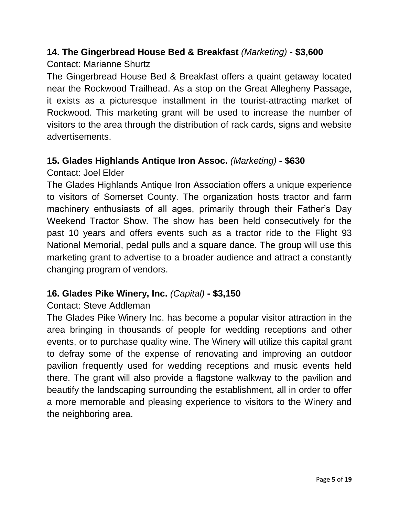## **14. The Gingerbread House Bed & Breakfast** *(Marketing)* **- \$3,600**

#### Contact: Marianne Shurtz

The Gingerbread House Bed & Breakfast offers a quaint getaway located near the Rockwood Trailhead. As a stop on the Great Allegheny Passage, it exists as a picturesque installment in the tourist-attracting market of Rockwood. This marketing grant will be used to increase the number of visitors to the area through the distribution of rack cards, signs and website advertisements.

### **15. Glades Highlands Antique Iron Assoc.** *(Marketing)* **- \$630**

Contact: Joel Elder

The Glades Highlands Antique Iron Association offers a unique experience to visitors of Somerset County. The organization hosts tractor and farm machinery enthusiasts of all ages, primarily through their Father's Day Weekend Tractor Show. The show has been held consecutively for the past 10 years and offers events such as a tractor ride to the Flight 93 National Memorial, pedal pulls and a square dance. The group will use this marketing grant to advertise to a broader audience and attract a constantly changing program of vendors.

#### **16. Glades Pike Winery, Inc.** *(Capital)* **- \$3,150**

#### Contact: Steve Addleman

The Glades Pike Winery Inc. has become a popular visitor attraction in the area bringing in thousands of people for wedding receptions and other events, or to purchase quality wine. The Winery will utilize this capital grant to defray some of the expense of renovating and improving an outdoor pavilion frequently used for wedding receptions and music events held there. The grant will also provide a flagstone walkway to the pavilion and beautify the landscaping surrounding the establishment, all in order to offer a more memorable and pleasing experience to visitors to the Winery and the neighboring area.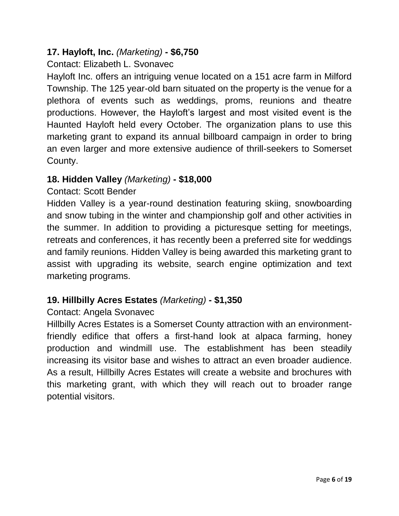#### **17. Hayloft, Inc.** *(Marketing)* **- \$6,750**

### Contact: Elizabeth L. Svonavec

Hayloft Inc. offers an intriguing venue located on a 151 acre farm in Milford Township. The 125 year-old barn situated on the property is the venue for a plethora of events such as weddings, proms, reunions and theatre productions. However, the Hayloft's largest and most visited event is the Haunted Hayloft held every October. The organization plans to use this marketing grant to expand its annual billboard campaign in order to bring an even larger and more extensive audience of thrill-seekers to Somerset County.

#### **18. Hidden Valley** *(Marketing)* **- \$18,000**

#### Contact: Scott Bender

Hidden Valley is a year-round destination featuring skiing, snowboarding and snow tubing in the winter and championship golf and other activities in the summer. In addition to providing a picturesque setting for meetings, retreats and conferences, it has recently been a preferred site for weddings and family reunions. Hidden Valley is being awarded this marketing grant to assist with upgrading its website, search engine optimization and text marketing programs.

#### **19. Hillbilly Acres Estates** *(Marketing)* **- \$1,350**

#### Contact: Angela Svonavec

Hillbilly Acres Estates is a Somerset County attraction with an environmentfriendly edifice that offers a first-hand look at alpaca farming, honey production and windmill use. The establishment has been steadily increasing its visitor base and wishes to attract an even broader audience. As a result, Hillbilly Acres Estates will create a website and brochures with this marketing grant, with which they will reach out to broader range potential visitors.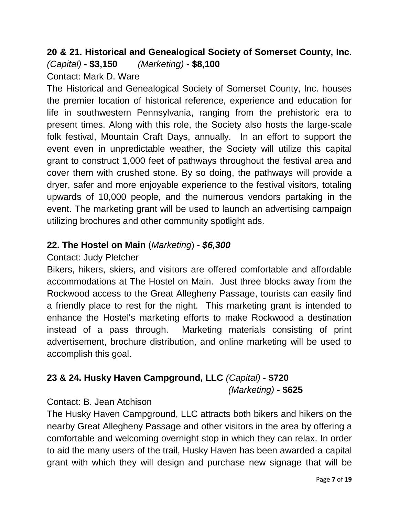#### **20 & 21. Historical and Genealogical Society of Somerset County, Inc.**  *(Capital)* **- \$3,150** *(Marketing)* **- \$8,100**

Contact: Mark D. Ware

The Historical and Genealogical Society of Somerset County, Inc. houses the premier location of historical reference, experience and education for life in southwestern Pennsylvania, ranging from the prehistoric era to present times. Along with this role, the Society also hosts the large-scale folk festival, Mountain Craft Days, annually. In an effort to support the event even in unpredictable weather, the Society will utilize this capital grant to construct 1,000 feet of pathways throughout the festival area and cover them with crushed stone. By so doing, the pathways will provide a dryer, safer and more enjoyable experience to the festival visitors, totaling upwards of 10,000 people, and the numerous vendors partaking in the event. The marketing grant will be used to launch an advertising campaign utilizing brochures and other community spotlight ads.

### **22. The Hostel on Main** (*Marketing*) - *\$6,300*

Contact: Judy Pletcher

Bikers, hikers, skiers, and visitors are offered comfortable and affordable accommodations at The Hostel on Main. Just three blocks away from the Rockwood access to the Great Allegheny Passage, tourists can easily find a friendly place to rest for the night. This marketing grant is intended to enhance the Hostel's marketing efforts to make Rockwood a destination instead of a pass through. Marketing materials consisting of print advertisement, brochure distribution, and online marketing will be used to accomplish this goal.

## **23 & 24. Husky Haven Campground, LLC** *(Capital)* **- \$720**

*(Marketing)* **- \$625**

## Contact: B. Jean Atchison

The Husky Haven Campground, LLC attracts both bikers and hikers on the nearby Great Allegheny Passage and other visitors in the area by offering a comfortable and welcoming overnight stop in which they can relax. In order to aid the many users of the trail, Husky Haven has been awarded a capital grant with which they will design and purchase new signage that will be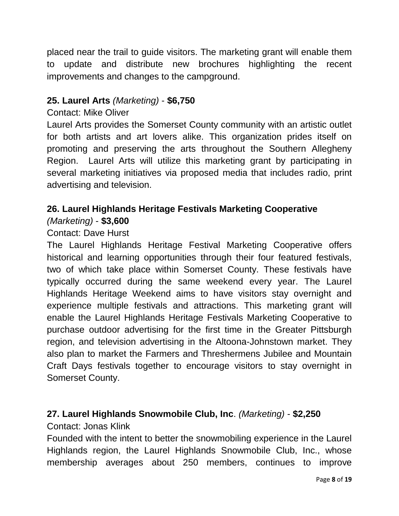placed near the trail to guide visitors. The marketing grant will enable them to update and distribute new brochures highlighting the recent improvements and changes to the campground.

#### **25. Laurel Arts** *(Marketing)* - **\$6,750**

#### Contact: Mike Oliver

Laurel Arts provides the Somerset County community with an artistic outlet for both artists and art lovers alike. This organization prides itself on promoting and preserving the arts throughout the Southern Allegheny Region. Laurel Arts will utilize this marketing grant by participating in several marketing initiatives via proposed media that includes radio, print advertising and television.

## **26. Laurel Highlands Heritage Festivals Marketing Cooperative**

#### *(Marketing)* - **\$3,600**

#### Contact: Dave Hurst

The Laurel Highlands Heritage Festival Marketing Cooperative offers historical and learning opportunities through their four featured festivals, two of which take place within Somerset County. These festivals have typically occurred during the same weekend every year. The Laurel Highlands Heritage Weekend aims to have visitors stay overnight and experience multiple festivals and attractions. This marketing grant will enable the Laurel Highlands Heritage Festivals Marketing Cooperative to purchase outdoor advertising for the first time in the Greater Pittsburgh region, and television advertising in the Altoona-Johnstown market. They also plan to market the Farmers and Threshermens Jubilee and Mountain Craft Days festivals together to encourage visitors to stay overnight in Somerset County.

#### **27. Laurel Highlands Snowmobile Club, Inc**. *(Marketing)* - **\$2,250**

#### Contact: Jonas Klink

Founded with the intent to better the snowmobiling experience in the Laurel Highlands region, the Laurel Highlands Snowmobile Club, Inc., whose membership averages about 250 members, continues to improve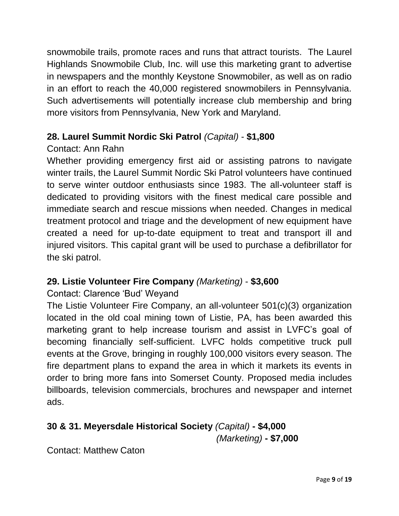snowmobile trails, promote races and runs that attract tourists. The Laurel Highlands Snowmobile Club, Inc. will use this marketing grant to advertise in newspapers and the monthly Keystone Snowmobiler, as well as on radio in an effort to reach the 40,000 registered snowmobilers in Pennsylvania. Such advertisements will potentially increase club membership and bring more visitors from Pennsylvania, New York and Maryland.

### **28. Laurel Summit Nordic Ski Patrol** *(Capital)* - **\$1,800**

### Contact: Ann Rahn

Whether providing emergency first aid or assisting patrons to navigate winter trails, the Laurel Summit Nordic Ski Patrol volunteers have continued to serve winter outdoor enthusiasts since 1983. The all-volunteer staff is dedicated to providing visitors with the finest medical care possible and immediate search and rescue missions when needed. Changes in medical treatment protocol and triage and the development of new equipment have created a need for up-to-date equipment to treat and transport ill and injured visitors. This capital grant will be used to purchase a defibrillator for the ski patrol.

#### **29. Listie Volunteer Fire Company** *(Marketing)* - **\$3,600**

## Contact: Clarence 'Bud' Weyand

The Listie Volunteer Fire Company, an all-volunteer 501(c)(3) organization located in the old coal mining town of Listie, PA, has been awarded this marketing grant to help increase tourism and assist in LVFC's goal of becoming financially self-sufficient. LVFC holds competitive truck pull events at the Grove, bringing in roughly 100,000 visitors every season. The fire department plans to expand the area in which it markets its events in order to bring more fans into Somerset County. Proposed media includes billboards, television commercials, brochures and newspaper and internet ads.

## **30 & 31. Meyersdale Historical Society** *(Capital)* **- \$4,000**

*(Marketing)* **- \$7,000**

Contact: Matthew Caton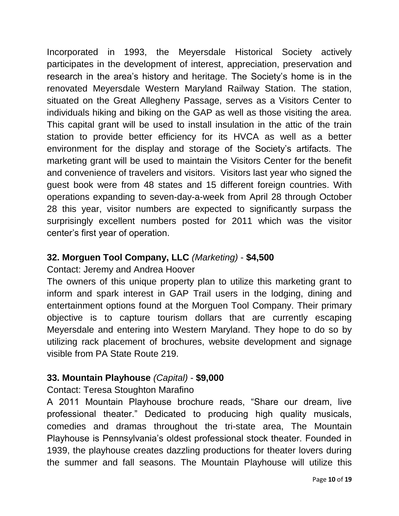Incorporated in 1993, the Meyersdale Historical Society actively participates in the development of interest, appreciation, preservation and research in the area's history and heritage. The Society's home is in the renovated Meyersdale Western Maryland Railway Station. The station, situated on the Great Allegheny Passage, serves as a Visitors Center to individuals hiking and biking on the GAP as well as those visiting the area. This capital grant will be used to install insulation in the attic of the train station to provide better efficiency for its HVCA as well as a better environment for the display and storage of the Society's artifacts. The marketing grant will be used to maintain the Visitors Center for the benefit and convenience of travelers and visitors. Visitors last year who signed the guest book were from 48 states and 15 different foreign countries. With operations expanding to seven-day-a-week from April 28 through October 28 this year, visitor numbers are expected to significantly surpass the surprisingly excellent numbers posted for 2011 which was the visitor center's first year of operation.

### **32. Morguen Tool Company, LLC** *(Marketing)* - **\$4,500**

Contact: Jeremy and Andrea Hoover

The owners of this unique property plan to utilize this marketing grant to inform and spark interest in GAP Trail users in the lodging, dining and entertainment options found at the Morguen Tool Company. Their primary objective is to capture tourism dollars that are currently escaping Meyersdale and entering into Western Maryland. They hope to do so by utilizing rack placement of brochures, website development and signage visible from PA State Route 219.

## **33. Mountain Playhouse** *(Capital)* - **\$9,000**

Contact: Teresa Stoughton Marafino

A 2011 Mountain Playhouse brochure reads, "Share our dream, live professional theater." Dedicated to producing high quality musicals, comedies and dramas throughout the tri-state area, The Mountain Playhouse is Pennsylvania's oldest professional stock theater. Founded in 1939, the playhouse creates dazzling productions for theater lovers during the summer and fall seasons. The Mountain Playhouse will utilize this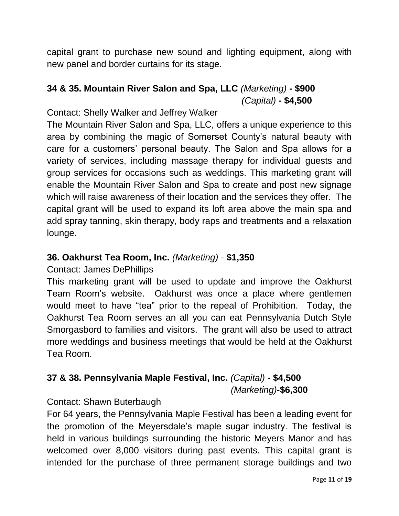capital grant to purchase new sound and lighting equipment, along with new panel and border curtains for its stage.

### **34 & 35. Mountain River Salon and Spa, LLC** *(Marketing)* **- \$900** *(Capital)* **- \$4,500**

Contact: Shelly Walker and Jeffrey Walker

The Mountain River Salon and Spa, LLC, offers a unique experience to this area by combining the magic of Somerset County's natural beauty with care for a customers' personal beauty. The Salon and Spa allows for a variety of services, including massage therapy for individual guests and group services for occasions such as weddings. This marketing grant will enable the Mountain River Salon and Spa to create and post new signage which will raise awareness of their location and the services they offer. The capital grant will be used to expand its loft area above the main spa and add spray tanning, skin therapy, body raps and treatments and a relaxation lounge.

#### **36. Oakhurst Tea Room, Inc.** *(Marketing)* - **\$1,350**

Contact: James DePhillips

This marketing grant will be used to update and improve the Oakhurst Team Room's website. Oakhurst was once a place where gentlemen would meet to have "tea" prior to the repeal of Prohibition. Today, the Oakhurst Tea Room serves an all you can eat Pennsylvania Dutch Style Smorgasbord to families and visitors. The grant will also be used to attract more weddings and business meetings that would be held at the Oakhurst Tea Room.

## **37 & 38. Pennsylvania Maple Festival, Inc.** *(Capital)* - **\$4,500**

*(Marketing)*-**\$6,300**

Contact: Shawn Buterbaugh

For 64 years, the Pennsylvania Maple Festival has been a leading event for the promotion of the Meyersdale's maple sugar industry. The festival is held in various buildings surrounding the historic Meyers Manor and has welcomed over 8,000 visitors during past events. This capital grant is intended for the purchase of three permanent storage buildings and two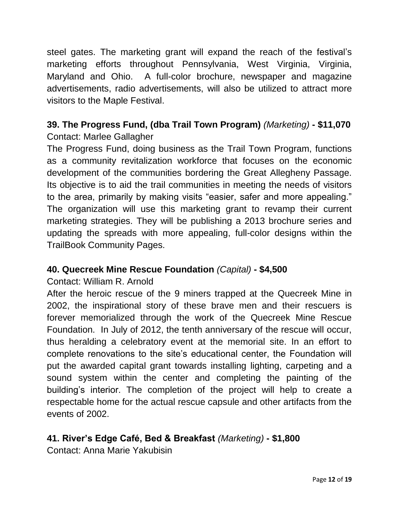steel gates. The marketing grant will expand the reach of the festival's marketing efforts throughout Pennsylvania, West Virginia, Virginia, Maryland and Ohio. A full-color brochure, newspaper and magazine advertisements, radio advertisements, will also be utilized to attract more visitors to the Maple Festival.

#### **39. The Progress Fund, (dba Trail Town Program)** *(Marketing)* **- \$11,070** Contact: Marlee Gallagher

The Progress Fund, doing business as the Trail Town Program, functions as a community revitalization workforce that focuses on the economic development of the communities bordering the Great Allegheny Passage. Its objective is to aid the trail communities in meeting the needs of visitors to the area, primarily by making visits "easier, safer and more appealing." The organization will use this marketing grant to revamp their current marketing strategies. They will be publishing a 2013 brochure series and updating the spreads with more appealing, full-color designs within the TrailBook Community Pages.

## **40. Quecreek Mine Rescue Foundation** *(Capital)* **- \$4,500**

#### Contact: William R. Arnold

After the heroic rescue of the 9 miners trapped at the Quecreek Mine in 2002, the inspirational story of these brave men and their rescuers is forever memorialized through the work of the Quecreek Mine Rescue Foundation. In July of 2012, the tenth anniversary of the rescue will occur, thus heralding a celebratory event at the memorial site. In an effort to complete renovations to the site's educational center, the Foundation will put the awarded capital grant towards installing lighting, carpeting and a sound system within the center and completing the painting of the building's interior. The completion of the project will help to create a respectable home for the actual rescue capsule and other artifacts from the events of 2002.

## **41. River's Edge Café, Bed & Breakfast** *(Marketing)* **- \$1,800**

Contact: Anna Marie Yakubisin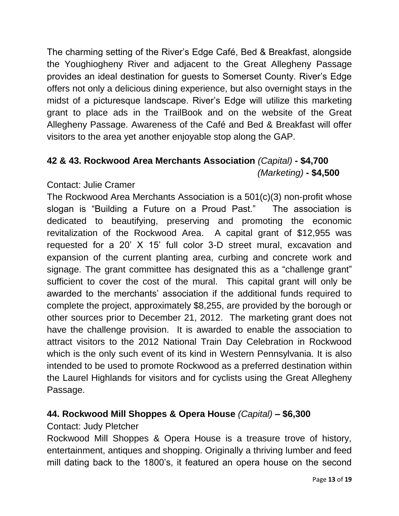The charming setting of the River's Edge Café, Bed & Breakfast, alongside the Youghiogheny River and adjacent to the Great Allegheny Passage provides an ideal destination for guests to Somerset County. River's Edge offers not only a delicious dining experience, but also overnight stays in the midst of a picturesque landscape. River's Edge will utilize this marketing grant to place ads in the TrailBook and on the website of the Great Allegheny Passage. Awareness of the Café and Bed & Breakfast will offer visitors to the area yet another enjoyable stop along the GAP.

### **42 & 43. Rockwood Area Merchants Association** *(Capital)* **- \$4,700** *(Marketing)* **- \$4,500**

### Contact: Julie Cramer

The Rockwood Area Merchants Association is a 501(c)(3) non-profit whose slogan is "Building a Future on a Proud Past." The association is dedicated to beautifying, preserving and promoting the economic revitalization of the Rockwood Area. A capital grant of \$12,955 was requested for a 20' X 15' full color 3-D street mural, excavation and expansion of the current planting area, curbing and concrete work and signage. The grant committee has designated this as a "challenge grant" sufficient to cover the cost of the mural. This capital grant will only be awarded to the merchants' association if the additional funds required to complete the project, approximately \$8,255, are provided by the borough or other sources prior to December 21, 2012. The marketing grant does not have the challenge provision. It is awarded to enable the association to attract visitors to the 2012 National Train Day Celebration in Rockwood which is the only such event of its kind in Western Pennsylvania. It is also intended to be used to promote Rockwood as a preferred destination within the Laurel Highlands for visitors and for cyclists using the Great Allegheny Passage.

## **44. Rockwood Mill Shoppes & Opera House** *(Capital)* **– \$6,300**

#### Contact: Judy Pletcher

Rockwood Mill Shoppes & Opera House is a treasure trove of history, entertainment, antiques and shopping. Originally a thriving lumber and feed mill dating back to the 1800's, it featured an opera house on the second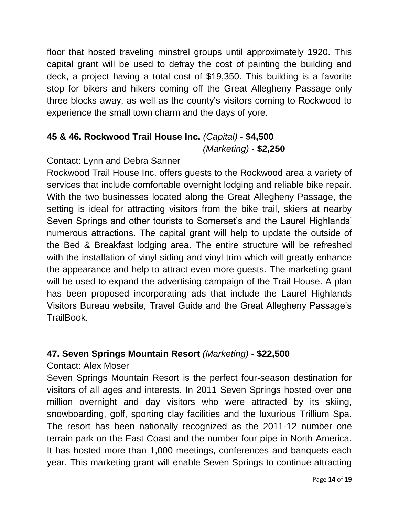floor that hosted traveling minstrel groups until approximately 1920. This capital grant will be used to defray the cost of painting the building and deck, a project having a total cost of \$19,350. This building is a favorite stop for bikers and hikers coming off the Great Allegheny Passage only three blocks away, as well as the county's visitors coming to Rockwood to experience the small town charm and the days of yore.

#### **45 & 46. Rockwood Trail House Inc.** *(Capital)* **- \$4,500** *(Marketing)* **- \$2,250**

### Contact: Lynn and Debra Sanner

Rockwood Trail House Inc. offers guests to the Rockwood area a variety of services that include comfortable overnight lodging and reliable bike repair. With the two businesses located along the Great Allegheny Passage, the setting is ideal for attracting visitors from the bike trail, skiers at nearby Seven Springs and other tourists to Somerset's and the Laurel Highlands' numerous attractions. The capital grant will help to update the outside of the Bed & Breakfast lodging area. The entire structure will be refreshed with the installation of vinyl siding and vinyl trim which will greatly enhance the appearance and help to attract even more guests. The marketing grant will be used to expand the advertising campaign of the Trail House. A plan has been proposed incorporating ads that include the Laurel Highlands Visitors Bureau website, Travel Guide and the Great Allegheny Passage's TrailBook.

#### **47. Seven Springs Mountain Resort** *(Marketing)* **- \$22,500**

#### Contact: Alex Moser

Seven Springs Mountain Resort is the perfect four-season destination for visitors of all ages and interests. In 2011 Seven Springs hosted over one million overnight and day visitors who were attracted by its skiing, snowboarding, golf, sporting clay facilities and the luxurious Trillium Spa. The resort has been nationally recognized as the 2011-12 number one terrain park on the East Coast and the number four pipe in North America. It has hosted more than 1,000 meetings, conferences and banquets each year. This marketing grant will enable Seven Springs to continue attracting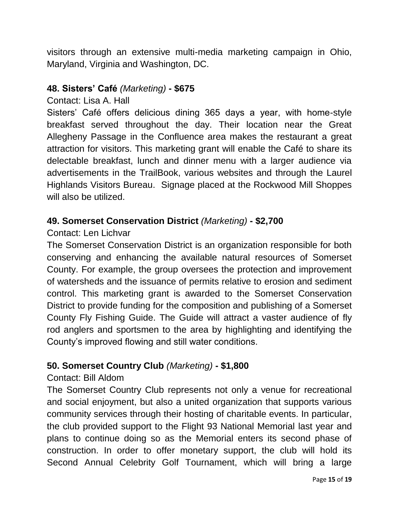visitors through an extensive multi-media marketing campaign in Ohio, Maryland, Virginia and Washington, DC.

#### **48. Sisters' Café** *(Marketing)* **- \$675**

Contact: Lisa A. Hall

Sisters' Café offers delicious dining 365 days a year, with home-style breakfast served throughout the day. Their location near the Great Allegheny Passage in the Confluence area makes the restaurant a great attraction for visitors. This marketing grant will enable the Café to share its delectable breakfast, lunch and dinner menu with a larger audience via advertisements in the TrailBook, various websites and through the Laurel Highlands Visitors Bureau. Signage placed at the Rockwood Mill Shoppes will also be utilized.

#### **49. Somerset Conservation District** *(Marketing)* **- \$2,700**

#### Contact: Len Lichvar

The Somerset Conservation District is an organization responsible for both conserving and enhancing the available natural resources of Somerset County. For example, the group oversees the protection and improvement of watersheds and the issuance of permits relative to erosion and sediment control. This marketing grant is awarded to the Somerset Conservation District to provide funding for the composition and publishing of a Somerset County Fly Fishing Guide. The Guide will attract a vaster audience of fly rod anglers and sportsmen to the area by highlighting and identifying the County's improved flowing and still water conditions.

#### **50. Somerset Country Club** *(Marketing)* **- \$1,800**

#### Contact: Bill Aldom

The Somerset Country Club represents not only a venue for recreational and social enjoyment, but also a united organization that supports various community services through their hosting of charitable events. In particular, the club provided support to the Flight 93 National Memorial last year and plans to continue doing so as the Memorial enters its second phase of construction. In order to offer monetary support, the club will hold its Second Annual Celebrity Golf Tournament, which will bring a large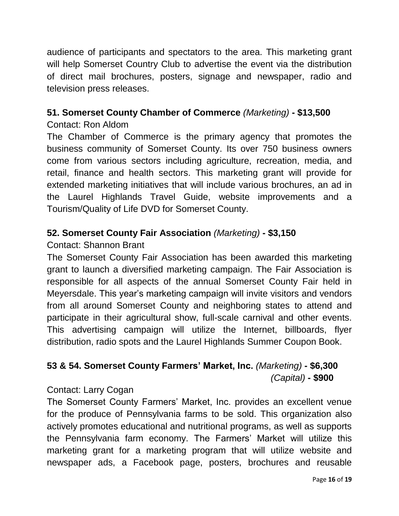audience of participants and spectators to the area. This marketing grant will help Somerset Country Club to advertise the event via the distribution of direct mail brochures, posters, signage and newspaper, radio and television press releases.

### **51. Somerset County Chamber of Commerce** *(Marketing)* **- \$13,500**

#### Contact: Ron Aldom

The Chamber of Commerce is the primary agency that promotes the business community of Somerset County. Its over 750 business owners come from various sectors including agriculture, recreation, media, and retail, finance and health sectors. This marketing grant will provide for extended marketing initiatives that will include various brochures, an ad in the Laurel Highlands Travel Guide, website improvements and a Tourism/Quality of Life DVD for Somerset County.

## **52. Somerset County Fair Association** *(Marketing)* **- \$3,150**

### Contact: Shannon Brant

The Somerset County Fair Association has been awarded this marketing grant to launch a diversified marketing campaign. The Fair Association is responsible for all aspects of the annual Somerset County Fair held in Meyersdale. This year's marketing campaign will invite visitors and vendors from all around Somerset County and neighboring states to attend and participate in their agricultural show, full-scale carnival and other events. This advertising campaign will utilize the Internet, billboards, flyer distribution, radio spots and the Laurel Highlands Summer Coupon Book.

## **53 & 54. Somerset County Farmers' Market, Inc.** *(Marketing)* **- \$6,300** *(Capital)* **- \$900**

## Contact: Larry Cogan

The Somerset County Farmers' Market, Inc. provides an excellent venue for the produce of Pennsylvania farms to be sold. This organization also actively promotes educational and nutritional programs, as well as supports the Pennsylvania farm economy. The Farmers' Market will utilize this marketing grant for a marketing program that will utilize website and newspaper ads, a Facebook page, posters, brochures and reusable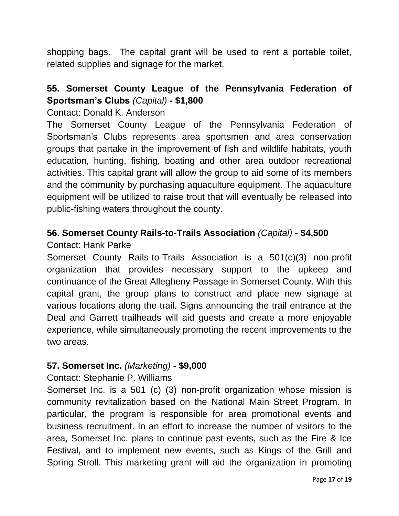shopping bags. The capital grant will be used to rent a portable toilet, related supplies and signage for the market.

### **55. Somerset County League of the Pennsylvania Federation of Sportsman's Clubs** *(Capital)* **- \$1,800**

Contact: Donald K. Anderson

The Somerset County League of the Pennsylvania Federation of Sportsman's Clubs represents area sportsmen and area conservation groups that partake in the improvement of fish and wildlife habitats, youth education, hunting, fishing, boating and other area outdoor recreational activities. This capital grant will allow the group to aid some of its members and the community by purchasing aquaculture equipment. The aquaculture equipment will be utilized to raise trout that will eventually be released into public-fishing waters throughout the county.

### **56. Somerset County Rails-to-Trails Association** *(Capital)* **- \$4,500**

Contact: Hank Parke

Somerset County Rails-to-Trails Association is a 501(c)(3) non-profit organization that provides necessary support to the upkeep and continuance of the Great Allegheny Passage in Somerset County. With this capital grant, the group plans to construct and place new signage at various locations along the trail. Signs announcing the trail entrance at the Deal and Garrett trailheads will aid guests and create a more enjoyable experience, while simultaneously promoting the recent improvements to the two areas.

#### **57. Somerset Inc.** *(Marketing)* **- \$9,000**

#### Contact: Stephanie P. Williams

Somerset Inc. is a 501 (c) (3) non-profit organization whose mission is community revitalization based on the National Main Street Program. In particular, the program is responsible for area promotional events and business recruitment. In an effort to increase the number of visitors to the area, Somerset Inc. plans to continue past events, such as the Fire & Ice Festival, and to implement new events, such as Kings of the Grill and Spring Stroll. This marketing grant will aid the organization in promoting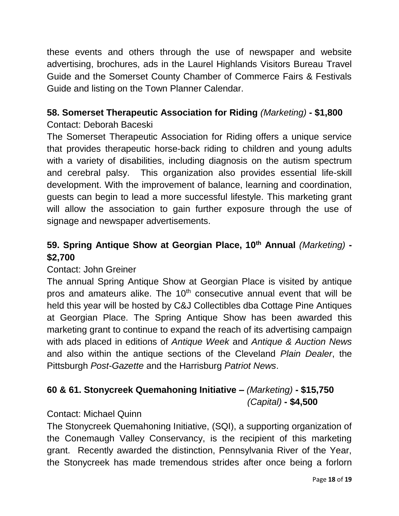these events and others through the use of newspaper and website advertising, brochures, ads in the Laurel Highlands Visitors Bureau Travel Guide and the Somerset County Chamber of Commerce Fairs & Festivals Guide and listing on the Town Planner Calendar.

## **58. Somerset Therapeutic Association for Riding** *(Marketing)* **- \$1,800**

### Contact: Deborah Baceski

The Somerset Therapeutic Association for Riding offers a unique service that provides therapeutic horse-back riding to children and young adults with a variety of disabilities, including diagnosis on the autism spectrum and cerebral palsy. This organization also provides essential life-skill development. With the improvement of balance, learning and coordination, guests can begin to lead a more successful lifestyle. This marketing grant will allow the association to gain further exposure through the use of signage and newspaper advertisements.

## **59. Spring Antique Show at Georgian Place, 10 th Annual** *(Marketing)* **- \$2,700**

#### Contact: John Greiner

The annual Spring Antique Show at Georgian Place is visited by antique pros and amateurs alike. The 10<sup>th</sup> consecutive annual event that will be held this year will be hosted by C&J Collectibles dba Cottage Pine Antiques at Georgian Place. The Spring Antique Show has been awarded this marketing grant to continue to expand the reach of its advertising campaign with ads placed in editions of *Antique Week* and *Antique & Auction News*  and also within the antique sections of the Cleveland *Plain Dealer*, the Pittsburgh *Post-Gazette* and the Harrisburg *Patriot News*.

## **60 & 61. Stonycreek Quemahoning Initiative –** *(Marketing)* **- \$15,750** *(Capital)* **- \$4,500**

#### Contact: Michael Quinn

The Stonycreek Quemahoning Initiative, (SQI), a supporting organization of the Conemaugh Valley Conservancy, is the recipient of this marketing grant. Recently awarded the distinction, Pennsylvania River of the Year, the Stonycreek has made tremendous strides after once being a forlorn